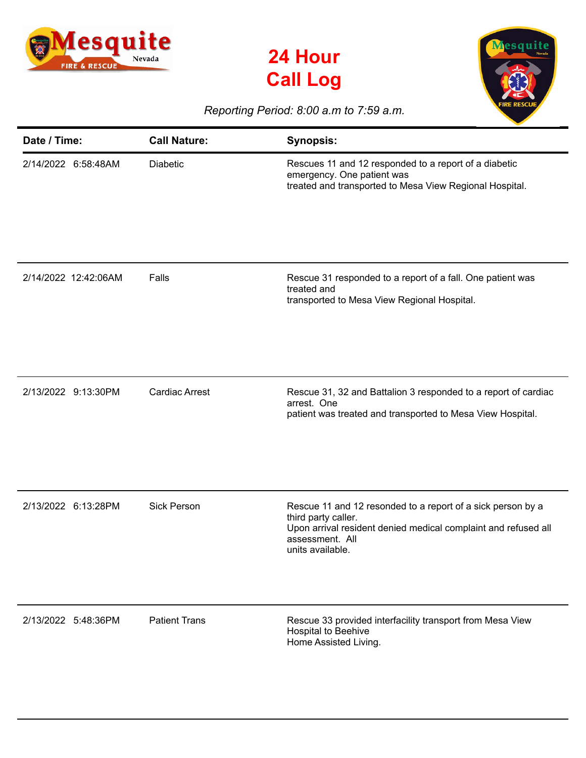





## *Reporting Period: 8:00 a.m to 7:59 a.m.*

| Date / Time:         | <b>Call Nature:</b>   | <b>Synopsis:</b>                                                                                                                                                                            |
|----------------------|-----------------------|---------------------------------------------------------------------------------------------------------------------------------------------------------------------------------------------|
| 2/14/2022 6:58:48AM  | <b>Diabetic</b>       | Rescues 11 and 12 responded to a report of a diabetic<br>emergency. One patient was<br>treated and transported to Mesa View Regional Hospital.                                              |
| 2/14/2022 12:42:06AM | Falls                 | Rescue 31 responded to a report of a fall. One patient was<br>treated and<br>transported to Mesa View Regional Hospital.                                                                    |
| 2/13/2022 9:13:30PM  | <b>Cardiac Arrest</b> | Rescue 31, 32 and Battalion 3 responded to a report of cardiac<br>arrest. One<br>patient was treated and transported to Mesa View Hospital.                                                 |
| 2/13/2022 6:13:28PM  | <b>Sick Person</b>    | Rescue 11 and 12 resonded to a report of a sick person by a<br>third party caller.<br>Upon arrival resident denied medical complaint and refused all<br>assessment. All<br>units available. |
| 2/13/2022 5:48:36PM  | <b>Patient Trans</b>  | Rescue 33 provided interfacility transport from Mesa View<br>Hospital to Beehive<br>Home Assisted Living.                                                                                   |